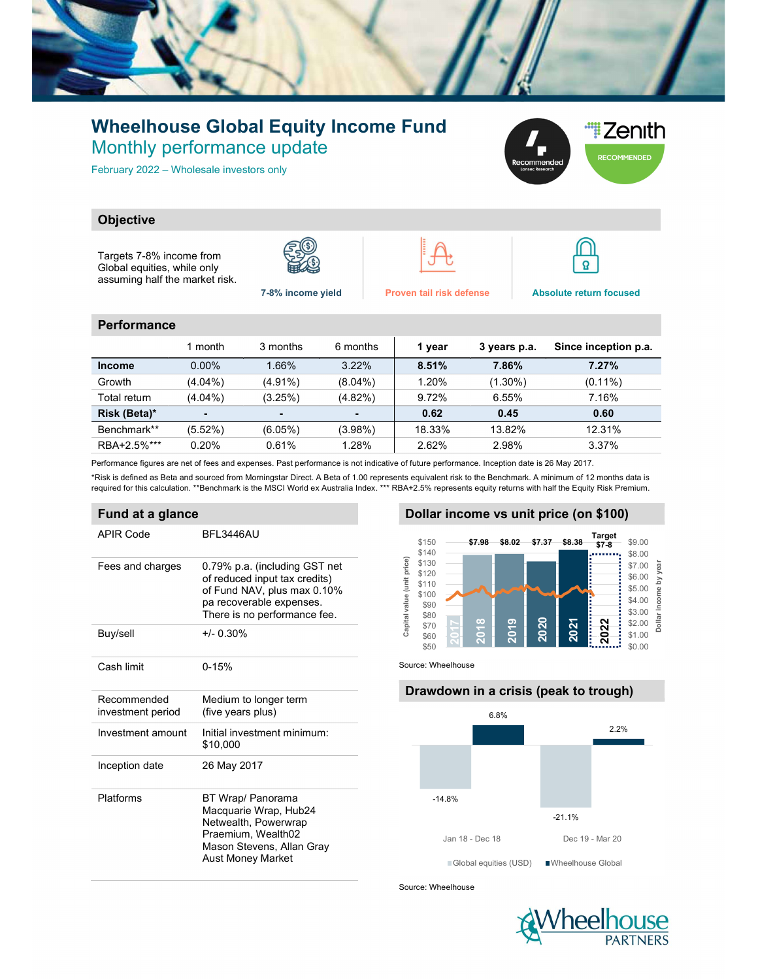

## Wheelhouse Global Equity Income Fund Monthly performance update

February 2022 – Wholesale investors only



### **Objective**

Targets 7-8% income from Global equities, while only assuming half the market risk.







 $\boldsymbol{\Omega}$ 

#### **Performance**

|               | 1 month        | 3 months   | 6 months   | 1 year | 3 years p.a. | Since inception p.a. |
|---------------|----------------|------------|------------|--------|--------------|----------------------|
| <b>Income</b> | $0.00\%$       | 1.66%      | 3.22%      | 8.51%  | 7.86%        | 7.27%                |
| Growth        | $(4.04\%)$     | $(4.91\%)$ | $(8.04\%)$ | 1.20%  | $(1.30\%)$   | $(0.11\%)$           |
| Total return  | $(4.04\%)$     | (3.25%)    | $(4.82\%)$ | 9.72%  | 6.55%        | 7.16%                |
| Risk (Beta)*  | $\blacksquare$ |            |            | 0.62   | 0.45         | 0.60                 |
| Benchmark**   | (5.52%)        | (6.05%)    | $(3.98\%)$ | 18.33% | 13.82%       | 12.31%               |
| RBA+2.5%***   | 0.20%          | 0.61%      | 1.28%      | 2.62%  | 2.98%        | 3.37%                |

Performance figures are net of fees and expenses. Past performance is not indicative of future performance. Inception date is 26 May 2017.

\*Risk is defined as Beta and sourced from Morningstar Direct. A Beta of 1.00 represents equivalent risk to the Benchmark. A minimum of 12 months data is required for this calculation. \*\*Benchmark is the MSCI World ex Australia Index. \*\*\* RBA+2.5% represents equity returns with half the Equity Risk Premium.

#### Fund at a glance

| APIR Code                        | <b>BFI 3446AU</b>                                                                                                                                         |
|----------------------------------|-----------------------------------------------------------------------------------------------------------------------------------------------------------|
| Fees and charges                 | 0.79% p.a. (including GST net<br>of reduced input tax credits)<br>of Fund NAV, plus max 0.10%<br>pa recoverable expenses.<br>There is no performance fee. |
| Buy/sell                         | $+/- 0.30%$                                                                                                                                               |
| Cash limit                       | $0 - 15%$                                                                                                                                                 |
| Recommended<br>investment period | Medium to longer term<br>(five years plus)                                                                                                                |
| Investment amount                | Initial investment minimum:<br>\$10.000                                                                                                                   |
| Inception date                   | 26 May 2017                                                                                                                                               |
| Platforms                        | BT Wrap/ Panorama<br>Macquarie Wrap, Hub24<br>Netwealth, Powerwrap<br>Praemium, Wealth02<br>Mason Stevens, Allan Gray<br><b>Aust Money Market</b>         |

#### Dollar income vs unit price (on \$100)



Source: Wheelhouse

# Drawdown in a crisis (peak to trough) -14.8% -21.1% 6.8% 2.2% 17.98 \$8.02 \$7.37 \$8.38 THE PICE (ON \$100)<br>
\$7.98 \$8.02 \$7.37 \$8.38 THE \$9.00<br>  $\frac{37.00}{57.00}$  \$1.00<br>  $\frac{37.00}{57.00}$  \$1.00<br>  $\frac{37.00}{57.00}$  \$1.00<br>  $\frac{37.00}{57.00}$  \$1.60<br>  $\frac{37.00}{57.00}$  \$1.60<br>  $\frac{37.00}{57.00}$ Global equities (USD) Wheelhouse Global

Source: Wheelhouse